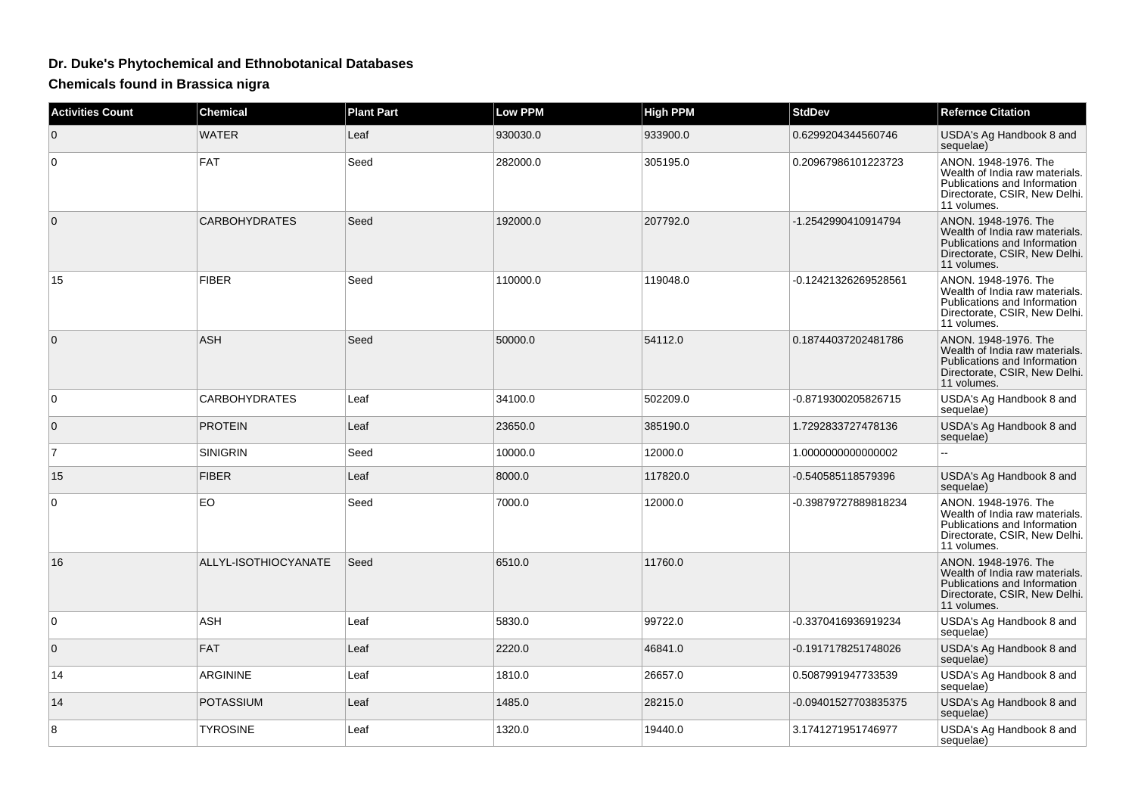## **Dr. Duke's Phytochemical and Ethnobotanical Databases**

**Chemicals found in Brassica nigra**

| <b>Activities Count</b> | Chemical             | <b>Plant Part</b> | <b>Low PPM</b> | <b>High PPM</b> | <b>StdDev</b>        | <b>Refernce Citation</b>                                                                                                               |
|-------------------------|----------------------|-------------------|----------------|-----------------|----------------------|----------------------------------------------------------------------------------------------------------------------------------------|
| 0                       | <b>WATER</b>         | Leaf              | 930030.0       | 933900.0        | 0.6299204344560746   | USDA's Ag Handbook 8 and<br>sequelae)                                                                                                  |
| $\Omega$                | <b>FAT</b>           | Seed              | 282000.0       | 305195.0        | 0.20967986101223723  | ANON. 1948-1976. The<br>Wealth of India raw materials.<br>Publications and Information<br>Directorate, CSIR, New Delhi.<br>11 volumes. |
| $\mathbf{0}$            | <b>CARBOHYDRATES</b> | Seed              | 192000.0       | 207792.0        | -1.2542990410914794  | ANON. 1948-1976. The<br>Wealth of India raw materials.<br>Publications and Information<br>Directorate, CSIR, New Delhi.<br>11 volumes. |
| 15                      | <b>FIBER</b>         | Seed              | 110000.0       | 119048.0        | -0.12421326269528561 | ANON. 1948-1976. The<br>Wealth of India raw materials.<br>Publications and Information<br>Directorate, CSIR, New Delhi.<br>11 volumes. |
| $\Omega$                | <b>ASH</b>           | Seed              | 50000.0        | 54112.0         | 0.18744037202481786  | ANON. 1948-1976. The<br>Wealth of India raw materials.<br>Publications and Information<br>Directorate, CSIR, New Delhi.<br>11 volumes. |
| $\Omega$                | <b>CARBOHYDRATES</b> | Leaf              | 34100.0        | 502209.0        | -0.8719300205826715  | USDA's Ag Handbook 8 and<br>sequelae)                                                                                                  |
| 0                       | <b>PROTEIN</b>       | Leaf              | 23650.0        | 385190.0        | 1.7292833727478136   | USDA's Ag Handbook 8 and<br>sequelae)                                                                                                  |
| $\overline{7}$          | <b>SINIGRIN</b>      | Seed              | 10000.0        | 12000.0         | 1.000000000000002    | $\overline{a}$                                                                                                                         |
| 15                      | <b>FIBER</b>         | Leaf              | 8000.0         | 117820.0        | -0.540585118579396   | USDA's Ag Handbook 8 and<br>sequelae)                                                                                                  |
| 0                       | EO                   | Seed              | 7000.0         | 12000.0         | -0.39879727889818234 | ANON. 1948-1976. The<br>Wealth of India raw materials.<br>Publications and Information<br>Directorate, CSIR, New Delhi.<br>11 volumes. |
| 16                      | ALLYL-ISOTHIOCYANATE | Seed              | 6510.0         | 11760.0         |                      | ANON, 1948-1976, The<br>Wealth of India raw materials.<br>Publications and Information<br>Directorate, CSIR, New Delhi.<br>11 volumes. |
| 0                       | ASH                  | Leaf              | 5830.0         | 99722.0         | -0.3370416936919234  | USDA's Ag Handbook 8 and<br>sequelae)                                                                                                  |
| $\mathbf{0}$            | <b>FAT</b>           | Leaf              | 2220.0         | 46841.0         | -0.1917178251748026  | USDA's Ag Handbook 8 and<br>sequelae)                                                                                                  |
| 14                      | ARGININE             | Leaf              | 1810.0         | 26657.0         | 0.5087991947733539   | USDA's Ag Handbook 8 and<br>sequelae)                                                                                                  |
| 14                      | <b>POTASSIUM</b>     | Leaf              | 1485.0         | 28215.0         | -0.09401527703835375 | USDA's Ag Handbook 8 and<br>sequelae)                                                                                                  |
| 8                       | TYROSINE             | Leaf              | 1320.0         | 19440.0         | 3.1741271951746977   | USDA's Ag Handbook 8 and<br>sequelae)                                                                                                  |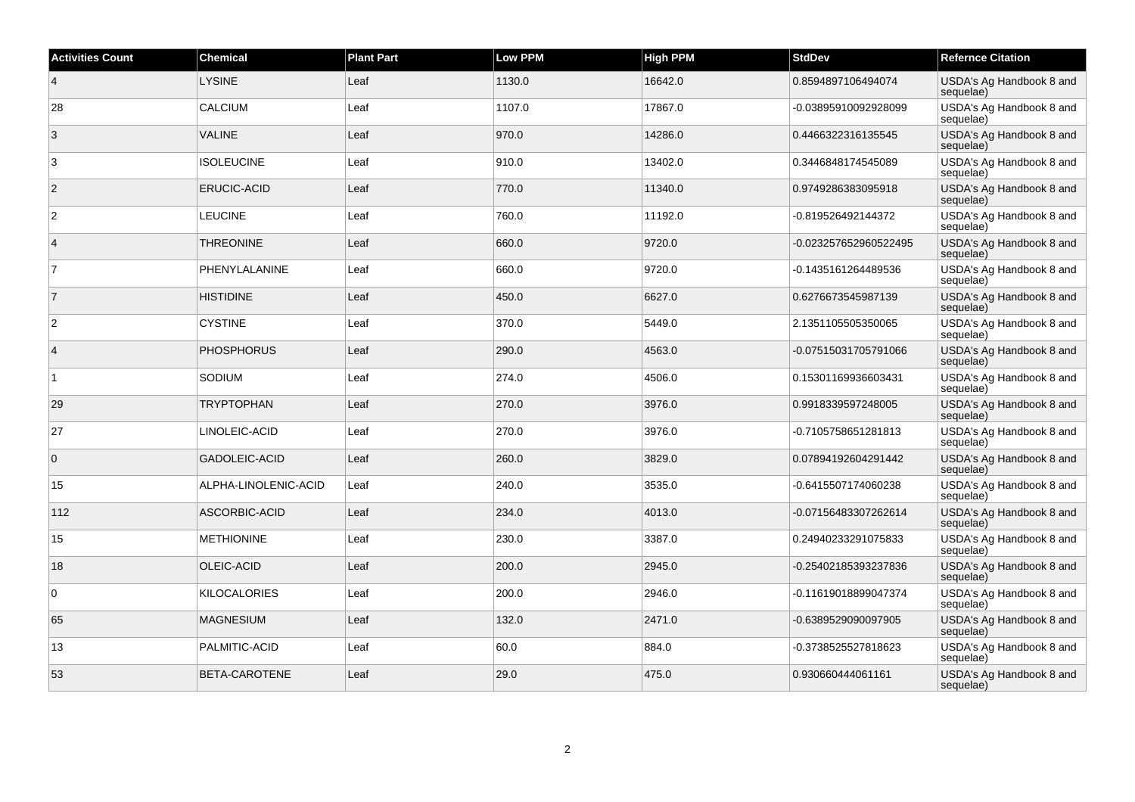| <b>Activities Count</b> | <b>Chemical</b>      | <b>Plant Part</b> | <b>Low PPM</b> | <b>High PPM</b> | <b>StdDev</b>         | <b>Refernce Citation</b>              |
|-------------------------|----------------------|-------------------|----------------|-----------------|-----------------------|---------------------------------------|
| $\vert 4 \vert$         | <b>LYSINE</b>        | Leaf              | 1130.0         | 16642.0         | 0.8594897106494074    | USDA's Ag Handbook 8 and<br>sequelae) |
| 28                      | <b>CALCIUM</b>       | Leaf              | 1107.0         | 17867.0         | -0.03895910092928099  | USDA's Ag Handbook 8 and<br>sequelae) |
| 3                       | <b>VALINE</b>        | Leaf              | 970.0          | 14286.0         | 0.4466322316135545    | USDA's Ag Handbook 8 and<br>sequelae) |
| 3                       | <b>ISOLEUCINE</b>    | Leaf              | 910.0          | 13402.0         | 0.3446848174545089    | USDA's Ag Handbook 8 and<br>sequelae) |
| $\overline{2}$          | <b>ERUCIC-ACID</b>   | Leaf              | 770.0          | 11340.0         | 0.9749286383095918    | USDA's Ag Handbook 8 and<br>sequelae) |
| $\overline{2}$          | <b>LEUCINE</b>       | Leaf              | 760.0          | 11192.0         | -0.819526492144372    | USDA's Ag Handbook 8 and<br>sequelae) |
| $\overline{4}$          | <b>THREONINE</b>     | Leaf              | 660.0          | 9720.0          | -0.023257652960522495 | USDA's Ag Handbook 8 and<br>sequelae) |
| $\overline{7}$          | PHENYLALANINE        | Leaf              | 660.0          | 9720.0          | -0.1435161264489536   | USDA's Ag Handbook 8 and<br>sequelae) |
| $\overline{7}$          | <b>HISTIDINE</b>     | Leaf              | 450.0          | 6627.0          | 0.6276673545987139    | USDA's Ag Handbook 8 and<br>sequelae) |
| $\overline{2}$          | <b>CYSTINE</b>       | Leaf              | 370.0          | 5449.0          | 2.1351105505350065    | USDA's Ag Handbook 8 and<br>sequelae) |
| $\vert$ 4               | <b>PHOSPHORUS</b>    | Leaf              | 290.0          | 4563.0          | -0.07515031705791066  | USDA's Ag Handbook 8 and<br>sequelae) |
| 1                       | SODIUM               | Leaf              | 274.0          | 4506.0          | 0.15301169936603431   | USDA's Ag Handbook 8 and<br>sequelae) |
| 29                      | <b>TRYPTOPHAN</b>    | Leaf              | 270.0          | 3976.0          | 0.9918339597248005    | USDA's Ag Handbook 8 and<br>sequelae) |
| 27                      | LINOLEIC-ACID        | Leaf              | 270.0          | 3976.0          | -0.7105758651281813   | USDA's Ag Handbook 8 and<br>sequelae) |
| $\overline{0}$          | <b>GADOLEIC-ACID</b> | Leaf              | 260.0          | 3829.0          | 0.07894192604291442   | USDA's Ag Handbook 8 and<br>sequelae) |
| 15                      | ALPHA-LINOLENIC-ACID | Leaf              | 240.0          | 3535.0          | -0.6415507174060238   | USDA's Ag Handbook 8 and<br>sequelae) |
| 112                     | ASCORBIC-ACID        | Leaf              | 234.0          | 4013.0          | -0.07156483307262614  | USDA's Ag Handbook 8 and<br>sequelae) |
| 15                      | <b>METHIONINE</b>    | Leaf              | 230.0          | 3387.0          | 0.24940233291075833   | USDA's Ag Handbook 8 and<br>sequelae) |
| 18                      | OLEIC-ACID           | Leaf              | 200.0          | 2945.0          | -0.25402185393237836  | USDA's Ag Handbook 8 and<br>sequelae) |
| $\overline{0}$          | <b>KILOCALORIES</b>  | Leaf              | 200.0          | 2946.0          | -0.11619018899047374  | USDA's Ag Handbook 8 and<br>sequelae) |
| 65                      | <b>MAGNESIUM</b>     | Leaf              | 132.0          | 2471.0          | -0.6389529090097905   | USDA's Ag Handbook 8 and<br>sequelae) |
| 13                      | PALMITIC-ACID        | Leaf              | 60.0           | 884.0           | -0.3738525527818623   | USDA's Ag Handbook 8 and<br>sequelae) |
| 53                      | BETA-CAROTENE        | Leaf              | 29.0           | 475.0           | 0.930660444061161     | USDA's Ag Handbook 8 and<br>sequelae) |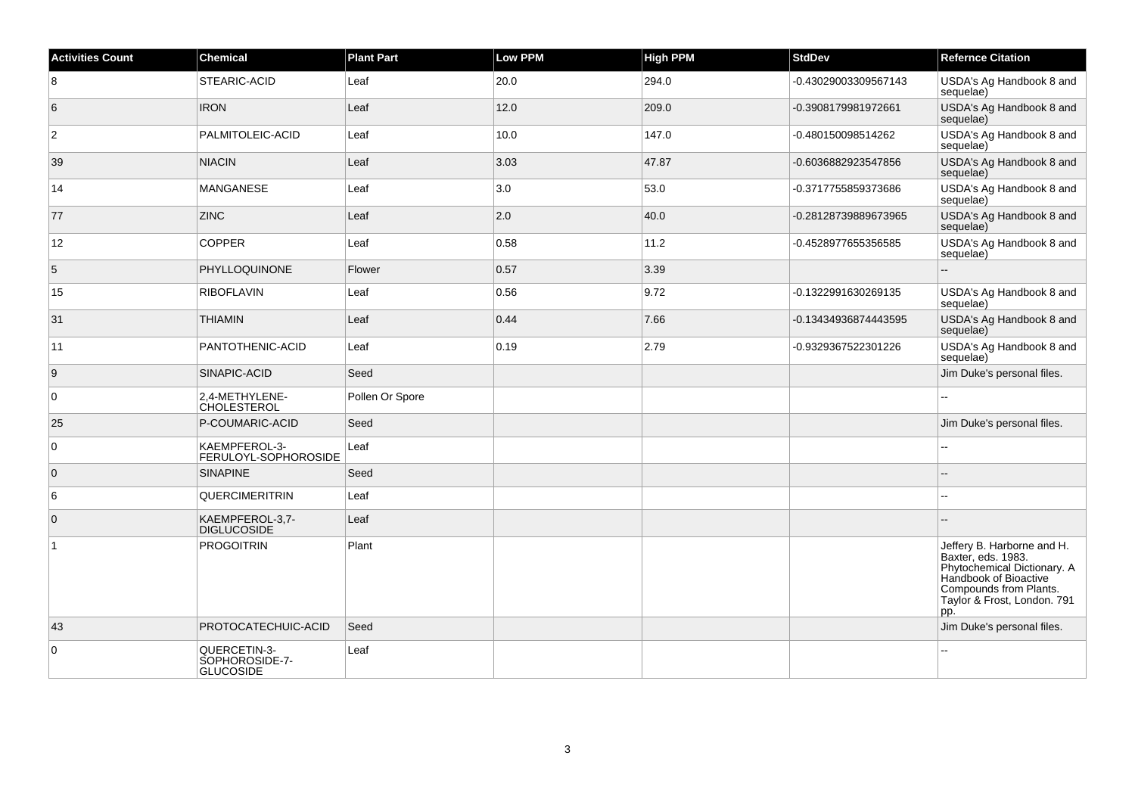| <b>Activities Count</b> | <b>Chemical</b>                                    | <b>Plant Part</b> | <b>Low PPM</b> | <b>High PPM</b> | <b>StdDev</b>        | <b>Refernce Citation</b>                                                                                                                                                 |
|-------------------------|----------------------------------------------------|-------------------|----------------|-----------------|----------------------|--------------------------------------------------------------------------------------------------------------------------------------------------------------------------|
| 8                       | <b>STEARIC-ACID</b>                                | Leaf              | 20.0           | 294.0           | -0.43029003309567143 | USDA's Ag Handbook 8 and<br>sequelae)                                                                                                                                    |
| $6\phantom{.}6$         | <b>IRON</b>                                        | Leaf              | 12.0           | 209.0           | -0.3908179981972661  | USDA's Ag Handbook 8 and<br>sequelae)                                                                                                                                    |
| 2                       | PALMITOLEIC-ACID                                   | Leaf              | 10.0           | 147.0           | -0.480150098514262   | USDA's Ag Handbook 8 and<br>sequelae)                                                                                                                                    |
| 39                      | <b>NIACIN</b>                                      | Leaf              | 3.03           | 47.87           | -0.6036882923547856  | USDA's Ag Handbook 8 and<br>sequelae)                                                                                                                                    |
| 14                      | MANGANESE                                          | Leaf              | 3.0            | 53.0            | -0.3717755859373686  | USDA's Ag Handbook 8 and<br>sequelae)                                                                                                                                    |
| 77                      | <b>ZINC</b>                                        | Leaf              | 2.0            | 40.0            | -0.28128739889673965 | USDA's Ag Handbook 8 and<br>sequelae)                                                                                                                                    |
| 12                      | <b>COPPER</b>                                      | Leaf              | 0.58           | 11.2            | -0.4528977655356585  | USDA's Ag Handbook 8 and<br>sequelae)                                                                                                                                    |
| 5                       | PHYLLOQUINONE                                      | Flower            | 0.57           | 3.39            |                      | ÷.                                                                                                                                                                       |
| 15                      | <b>RIBOFLAVIN</b>                                  | Leaf              | 0.56           | 9.72            | -0.1322991630269135  | USDA's Ag Handbook 8 and<br>sequelae)                                                                                                                                    |
| 31                      | <b>THIAMIN</b>                                     | Leaf              | 0.44           | 7.66            | -0.13434936874443595 | USDA's Ag Handbook 8 and<br>sequelae)                                                                                                                                    |
| 11                      | PANTOTHENIC-ACID                                   | Leaf              | 0.19           | 2.79            | -0.9329367522301226  | USDA's Ag Handbook 8 and<br>sequelae)                                                                                                                                    |
| 9                       | SINAPIC-ACID                                       | Seed              |                |                 |                      | Jim Duke's personal files.                                                                                                                                               |
| $\overline{0}$          | 2,4-METHYLENE-<br><b>CHOLESTEROL</b>               | Pollen Or Spore   |                |                 |                      |                                                                                                                                                                          |
| 25                      | P-COUMARIC-ACID                                    | Seed              |                |                 |                      | Jim Duke's personal files.                                                                                                                                               |
| 0                       | KAEMPFEROL-3-<br>FERULOYL-SOPHOROSIDE              | Leaf              |                |                 |                      |                                                                                                                                                                          |
| $\overline{0}$          | <b>SINAPINE</b>                                    | Seed              |                |                 |                      | $\overline{\phantom{a}}$                                                                                                                                                 |
| 6                       | <b>QUERCIMERITRIN</b>                              | Leaf              |                |                 |                      |                                                                                                                                                                          |
| $\overline{0}$          | KAEMPFEROL-3,7-<br><b>DIGLUCOSIDE</b>              | Leaf              |                |                 |                      |                                                                                                                                                                          |
| $\overline{1}$          | <b>PROGOITRIN</b>                                  | Plant             |                |                 |                      | Jeffery B. Harborne and H.<br>Baxter, eds. 1983.<br>Phytochemical Dictionary. A<br>Handbook of Bioactive<br>Compounds from Plants.<br>Taylor & Frost, London. 791<br>pp. |
| 43                      | PROTOCATECHUIC-ACID                                | Seed              |                |                 |                      | Jim Duke's personal files.                                                                                                                                               |
| $\overline{0}$          | QUERCETIN-3-<br>SOPHOROSIDE-7-<br><b>GLUCOSIDE</b> | Leaf              |                |                 |                      |                                                                                                                                                                          |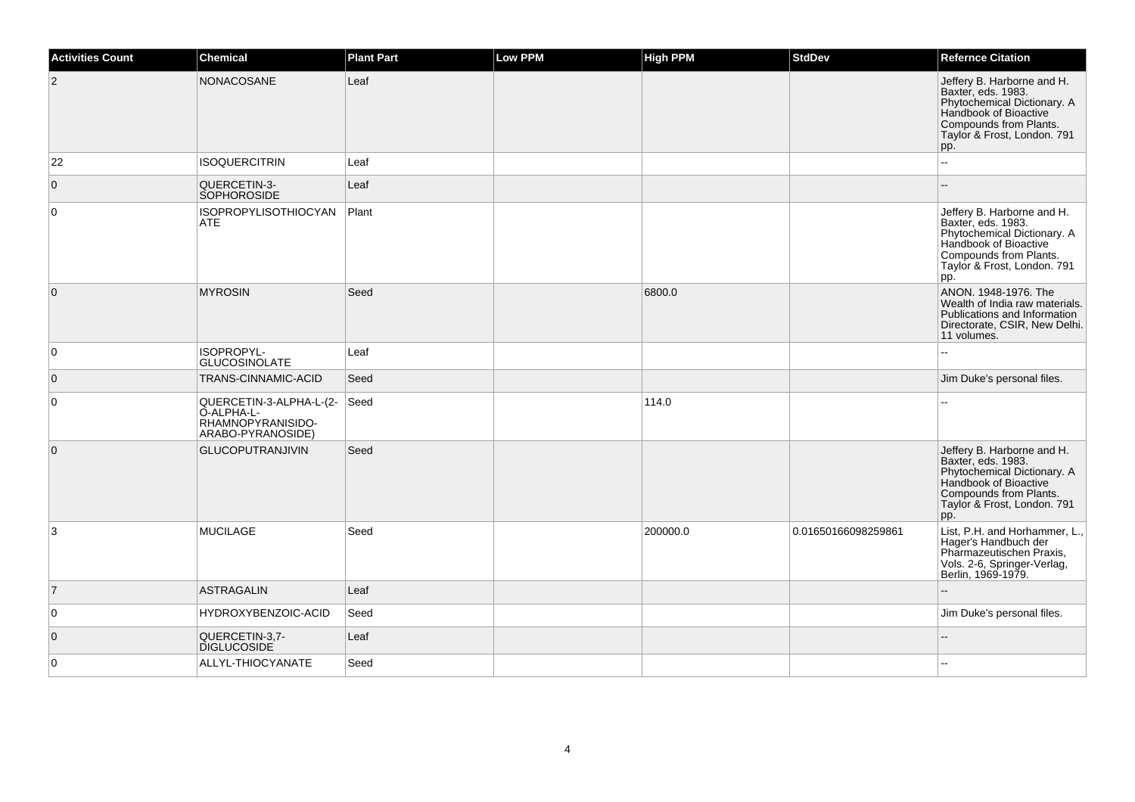| <b>Activities Count</b> | <b>Chemical</b>                                                                 | <b>Plant Part</b> | <b>Low PPM</b> | <b>High PPM</b> | <b>StdDev</b>       | <b>Refernce Citation</b>                                                                                                                                                 |
|-------------------------|---------------------------------------------------------------------------------|-------------------|----------------|-----------------|---------------------|--------------------------------------------------------------------------------------------------------------------------------------------------------------------------|
| $\overline{2}$          | NONACOSANE                                                                      | Leaf              |                |                 |                     | Jeffery B. Harborne and H.<br>Baxter, eds. 1983.<br>Phytochemical Dictionary. A<br>Handbook of Bioactive<br>Compounds from Plants.<br>Taylor & Frost, London. 791<br>pp. |
| 22                      | <b>ISOQUERCITRIN</b>                                                            | Leaf              |                |                 |                     | ÷.                                                                                                                                                                       |
| $\overline{0}$          | QUERCETIN-3-<br><b>SOPHOROSIDE</b>                                              | Leaf              |                |                 |                     |                                                                                                                                                                          |
| $\overline{0}$          | <b>ISOPROPYLISOTHIOCYAN</b><br>ATE                                              | Plant             |                |                 |                     | Jeffery B. Harborne and H.<br>Baxter, eds. 1983.<br>Phytochemical Dictionary. A<br>Handbook of Bioactive<br>Compounds from Plants.<br>Taylor & Frost, London. 791<br>pp. |
| $\overline{0}$          | <b>MYROSIN</b>                                                                  | Seed              |                | 6800.0          |                     | ANON. 1948-1976. The<br>Wealth of India raw materials.<br>Publications and Information<br>Directorate, CSIR, New Delhi.<br>11 volumes.                                   |
| $\overline{0}$          | ISOPROPYL-<br><b>GLUCOSINOLATE</b>                                              | Leaf              |                |                 |                     |                                                                                                                                                                          |
| $\overline{0}$          | TRANS-CINNAMIC-ACID                                                             | Seed              |                |                 |                     | Jim Duke's personal files.                                                                                                                                               |
| $\overline{0}$          | QUERCETIN-3-ALPHA-L-(2-<br>O-ALPHA-L-<br>RHAMNOPYRANISIDO-<br>ARABO-PYRANOSIDE) | Seed              |                | 114.0           |                     |                                                                                                                                                                          |
| $\overline{0}$          | <b>GLUCOPUTRANJIVIN</b>                                                         | Seed              |                |                 |                     | Jeffery B. Harborne and H.<br>Baxter, eds. 1983.<br>Phytochemical Dictionary. A<br>Handbook of Bioactive<br>Compounds from Plants.<br>Taylor & Frost, London. 791<br>pp. |
| 3                       | <b>MUCILAGE</b>                                                                 | Seed              |                | 200000.0        | 0.01650166098259861 | List, P.H. and Horhammer, L.,<br>Hager's Handbuch der<br>Pharmazeutischen Praxis,<br>Vols. 2-6, Springer-Verlag,<br>Berlin, 1969-1979.                                   |
| $\overline{7}$          | <b>ASTRAGALIN</b>                                                               | Leaf              |                |                 |                     |                                                                                                                                                                          |
| $\overline{0}$          | HYDROXYBENZOIC-ACID                                                             | Seed              |                |                 |                     | Jim Duke's personal files.                                                                                                                                               |
| $\overline{0}$          | QUERCETIN-3,7-<br><b>DIGLUCOSIDE</b>                                            | Leaf              |                |                 |                     |                                                                                                                                                                          |
| $\overline{0}$          | ALLYL-THIOCYANATE                                                               | Seed              |                |                 |                     |                                                                                                                                                                          |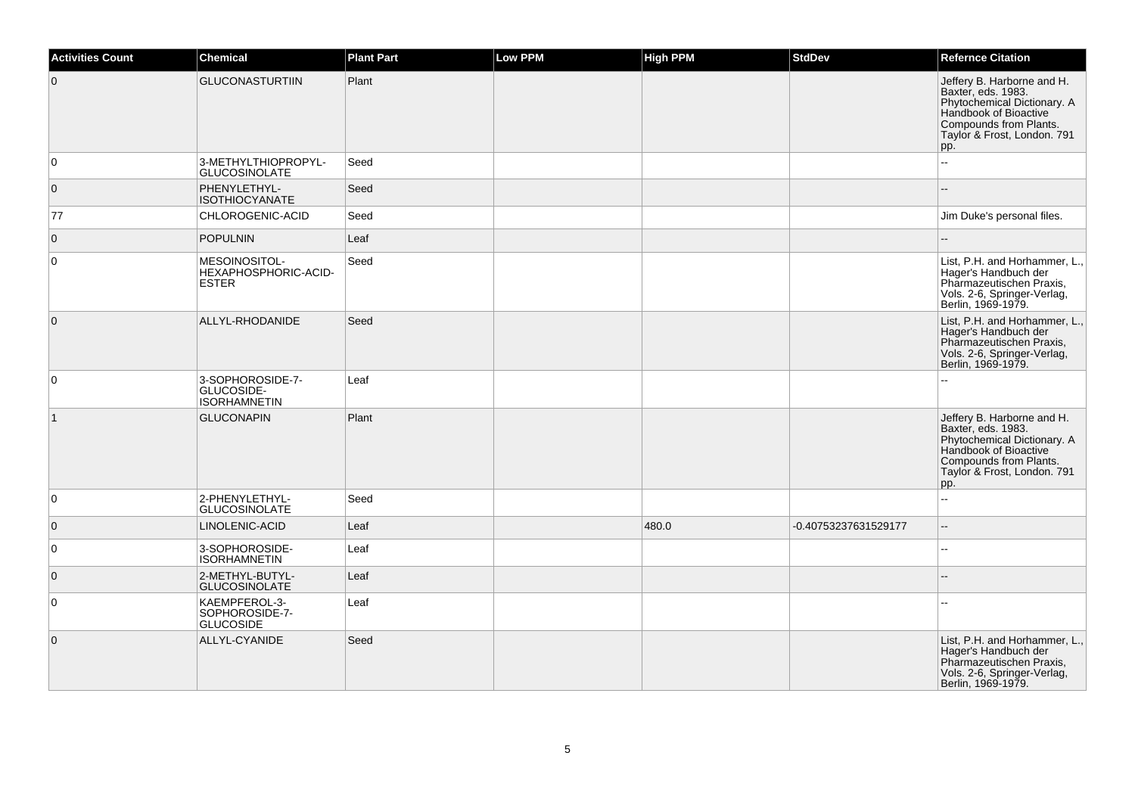| <b>Activities Count</b> | Chemical                                              | <b>Plant Part</b> | <b>Low PPM</b> | <b>High PPM</b> | <b>StdDev</b>        | <b>Refernce Citation</b>                                                                                                                                                 |
|-------------------------|-------------------------------------------------------|-------------------|----------------|-----------------|----------------------|--------------------------------------------------------------------------------------------------------------------------------------------------------------------------|
| $\overline{0}$          | <b>GLUCONASTURTIIN</b>                                | Plant             |                |                 |                      | Jeffery B. Harborne and H.<br>Baxter, eds. 1983.<br>Phytochemical Dictionary. A<br>Handbook of Bioactive<br>Compounds from Plants.<br>Taylor & Frost, London. 791<br>pp. |
| 0                       | 3-METHYLTHIOPROPYL-<br><b>GLUCOSINOLATE</b>           | Seed              |                |                 |                      | $\overline{a}$                                                                                                                                                           |
| $\overline{0}$          | PHENYLETHYL-<br><b>ISOTHIOCYANATE</b>                 | Seed              |                |                 |                      | ۵.                                                                                                                                                                       |
| 77                      | CHLOROGENIC-ACID                                      | Seed              |                |                 |                      | Jim Duke's personal files.                                                                                                                                               |
| $\mathbf 0$             | <b>POPULNIN</b>                                       | Leaf              |                |                 |                      | $-$                                                                                                                                                                      |
| 0                       | MESOINOSITOL-<br>HEXAPHOSPHORIC-ACID-<br><b>ESTER</b> | Seed              |                |                 |                      | List, P.H. and Horhammer, L.,<br>Hager's Handbuch der<br>Pharmazeutischen Praxis,<br>Vols. 2-6, Springer-Verlag,<br>Berlin, 1969-1979.                                   |
| $\overline{0}$          | ALLYL-RHODANIDE                                       | Seed              |                |                 |                      | List, P.H. and Horhammer, L.,<br>Hager's Handbuch der<br>Pharmazeutischen Praxis,<br>Vols. 2-6, Springer-Verlag,<br>Berlin, 1969-1979.                                   |
| 0                       | 3-SOPHOROSIDE-7-<br>GLUCOSIDE-<br><b>ISORHAMNETIN</b> | Leaf              |                |                 |                      |                                                                                                                                                                          |
| $\vert$ 1               | <b>GLUCONAPIN</b>                                     | Plant             |                |                 |                      | Jeffery B. Harborne and H.<br>Baxter, eds. 1983.<br>Phytochemical Dictionary. A<br>Handbook of Bioactive<br>Compounds from Plants.<br>Taylor & Frost, London. 791<br>pp. |
| $\mathbf 0$             | 2-PHENYLETHYL-<br><b>GLUCOSINOLATE</b>                | Seed              |                |                 |                      | Ξ.                                                                                                                                                                       |
| $\mathbf 0$             | LINOLENIC-ACID                                        | Leaf              |                | 480.0           | -0.40753237631529177 | $\overline{a}$                                                                                                                                                           |
| $\mathbf 0$             | 3-SOPHOROSIDE-<br><b>ISORHAMNETIN</b>                 | Leaf              |                |                 |                      | --                                                                                                                                                                       |
| $\mathbf 0$             | 2-METHYL-BUTYL-<br><b>GLUCOSINOLATE</b>               | Leaf              |                |                 |                      |                                                                                                                                                                          |
| 0                       | KAEMPFEROL-3-<br>SOPHOROSIDE-7-<br><b>GLUCOSIDE</b>   | Leaf              |                |                 |                      |                                                                                                                                                                          |
| $\mathbf 0$             | ALLYL-CYANIDE                                         | Seed              |                |                 |                      | List, P.H. and Horhammer, L.,<br>Hager's Handbuch der<br>Pharmazeutischen Praxis,<br>Vols. 2-6, Springer-Verlag,<br>Berlin, 1969-1979.                                   |